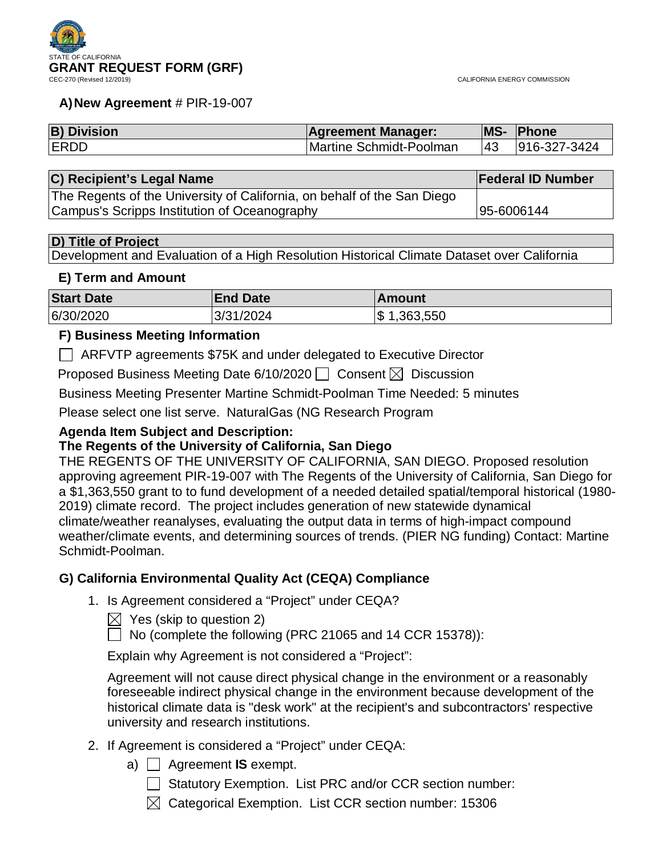

#### **A)New Agreement** # PIR-19-007

| <b>B) Division</b> | <b>Agreement Manager:</b> |     | <b>MS- Phone</b> |
|--------------------|---------------------------|-----|------------------|
| <b>IERDD</b>       | Martine Schmidt-Poolman   | 143 | 916-327-3424     |

| C) Recipient's Legal Name                                               | <b>Federal ID Number</b> |
|-------------------------------------------------------------------------|--------------------------|
| The Regents of the University of California, on behalf of the San Diego |                          |
| Campus's Scripps Institution of Oceanography                            | 195-6006144              |

#### **D) Title of Project**

Development and Evaluation of a High Resolution Historical Climate Dataset over California

#### **E) Term and Amount**

| <b>Start Date</b> | <b>End Date</b> | ∣Amount                 |
|-------------------|-----------------|-------------------------|
| 6/30/2020         | 3/31/2024       | $\frac{1}{3}$ 1,363,550 |

# **F) Business Meeting Information**

ARFVTP agreements \$75K and under delegated to Executive Director

Proposed Business Meeting Date 6/10/2020  $\Box$  Consent  $\boxtimes$  Discussion

Business Meeting Presenter Martine Schmidt-Poolman Time Needed: 5 minutes

Please select one list serve. NaturalGas (NG Research Program

# **Agenda Item Subject and Description:**

# **The Regents of the University of California, San Diego**

THE REGENTS OF THE UNIVERSITY OF CALIFORNIA, SAN DIEGO. Proposed resolution approving agreement PIR-19-007 with The Regents of the University of California, San Diego for a \$1,363,550 grant to to fund development of a needed detailed spatial/temporal historical (1980- 2019) climate record. The project includes generation of new statewide dynamical climate/weather reanalyses, evaluating the output data in terms of high-impact compound weather/climate events, and determining sources of trends. (PIER NG funding) Contact: Martine Schmidt-Poolman.

# **G) California Environmental Quality Act (CEQA) Compliance**

1. Is Agreement considered a "Project" under CEQA?

 $\bowtie$  Yes (skip to question 2)

 $\Box$  No (complete the following (PRC 21065 and 14 CCR 15378)):

Explain why Agreement is not considered a "Project":

Agreement will not cause direct physical change in the environment or a reasonably foreseeable indirect physical change in the environment because development of the historical climate data is "desk work" at the recipient's and subcontractors' respective university and research institutions.

- 2. If Agreement is considered a "Project" under CEQA:
	- a)  $\Box$  Agreement **IS** exempt.
		- Statutory Exemption. List PRC and/or CCR section number:
		- $\boxtimes$  Categorical Exemption. List CCR section number: 15306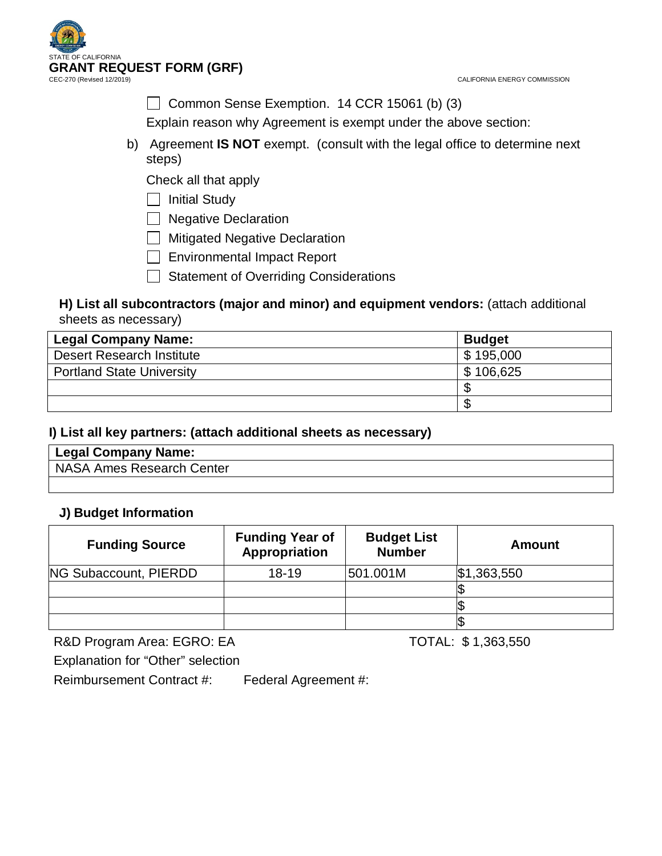



Common Sense Exemption.  $14$  CCR 15061 (b) (3)

Explain reason why Agreement is exempt under the above section:

b) Agreement **IS NOT** exempt. (consult with the legal office to determine next steps)

Check all that apply

 $\Box$  Initial Study

□ Negative Declaration

**Mitigated Negative Declaration** 

Environmental Impact Report

Statement of Overriding Considerations

# **H) List all subcontractors (major and minor) and equipment vendors:** (attach additional sheets as necessary)

| <b>Legal Company Name:</b>       | <b>Budget</b> |
|----------------------------------|---------------|
| <b>Desert Research Institute</b> | \$195,000     |
| <b>Portland State University</b> | \$106,625     |
|                                  |               |
|                                  | ۰D            |

# **I) List all key partners: (attach additional sheets as necessary)**

| Legal Company Name:       |
|---------------------------|
| NASA Ames Research Center |
|                           |

# **J) Budget Information**

| <b>Funding Source</b>        | <b>Funding Year of</b><br>Appropriation | <b>Budget List</b><br><b>Number</b> | Amount      |
|------------------------------|-----------------------------------------|-------------------------------------|-------------|
| <b>NG Subaccount, PIERDD</b> | $18-19$                                 | 501.001M                            | \$1,363,550 |
|                              |                                         |                                     |             |
|                              |                                         |                                     |             |
|                              |                                         |                                     |             |

R&D Program Area: EGRO: EA TOTAL: \$1,363,550

Explanation for "Other" selection

Reimbursement Contract #: Federal Agreement #: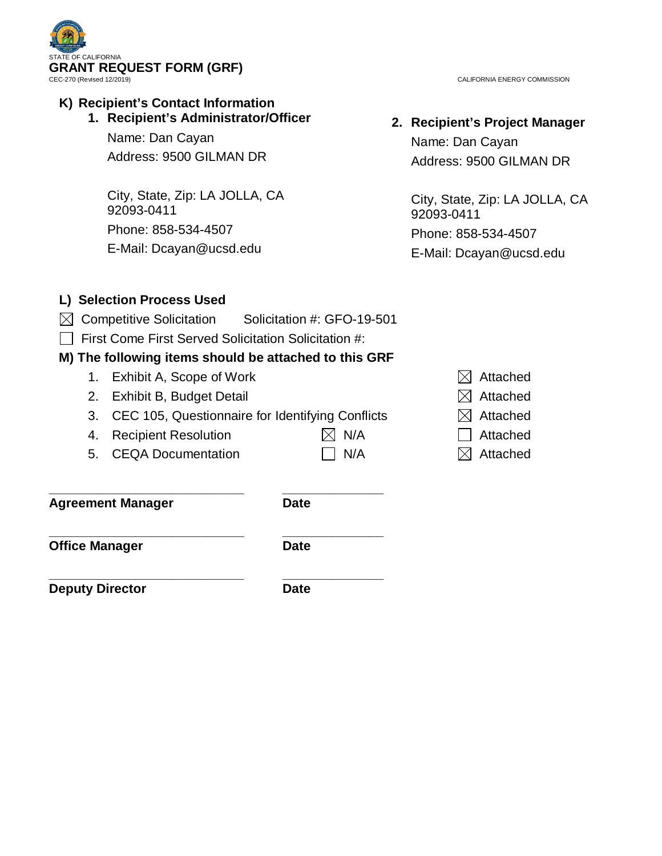

# **K) Recipient's Contact Information**

**1. Recipient's Administrator/Officer**

Name: Dan Cayan Address: 9500 GILMAN DR

City, State, Zip: LA JOLLA, CA 92093-0411 Phone: 858-534-4507 E-Mail: Dcayan@ucsd.edu

CALIFORNIA ENERGY COMMISSION

# **2. Recipient's Project Manager**

Name: Dan Cayan Address: 9500 GILMAN DR

City, State, Zip: LA JOLLA, CA 92093-0411 Phone: 858-534-4507 E-Mail: Dcayan@ucsd.edu

# **L) Selection Process Used**

- $\boxtimes$  Competitive Solicitation Solicitation #: GFO-19-501
- $\Box$  First Come First Served Solicitation Solicitation #:

# **M) The following items should be attached to this GRF**

- 1. Exhibit A, Scope of Work  $\boxtimes$  Attached
- 2. Exhibit B, Budget Detail  $\boxtimes$  Attached
- 3. CEC 105, Questionnaire for Identifying Conflicts  $\boxtimes$  Attached
- 4. Recipient Resolution  $\boxtimes$  N/A  $\Box$  Attached
- 5. CEQA Documentation  $\Box$  N/A  $\boxtimes$  Attached
- 

**\_\_\_\_\_\_\_\_\_\_\_\_\_\_\_\_\_\_\_\_\_\_\_\_\_\_\_ \_\_\_\_\_\_\_\_\_\_\_\_\_\_ Agreement Manager Date** 

**\_\_\_\_\_\_\_\_\_\_\_\_\_\_\_\_\_\_\_\_\_\_\_\_\_\_\_ \_\_\_\_\_\_\_\_\_\_\_\_\_\_ Office Manager Date** 

**Deputy Director Date** 

**\_\_\_\_\_\_\_\_\_\_\_\_\_\_\_\_\_\_\_\_\_\_\_\_\_\_\_ \_\_\_\_\_\_\_\_\_\_\_\_\_\_**

- 
- 
- 
- 
-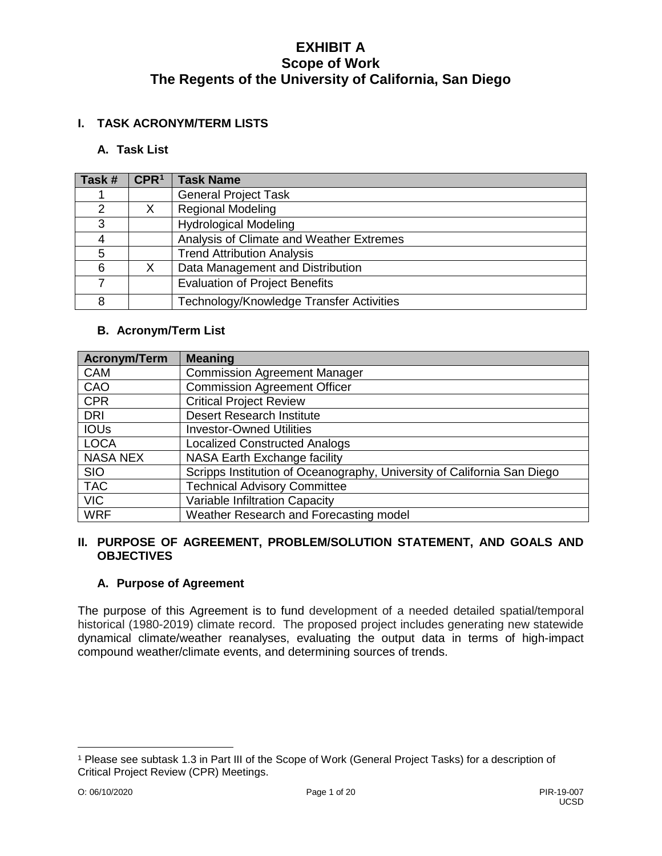# **I. TASK ACRONYM/TERM LISTS**

## **A. Task List**

| Task #        | CPR <sup>1</sup> | <b>Task Name</b>                         |
|---------------|------------------|------------------------------------------|
|               |                  | <b>General Project Task</b>              |
| $\mathcal{P}$ |                  | <b>Regional Modeling</b>                 |
| 3             |                  | <b>Hydrological Modeling</b>             |
|               |                  | Analysis of Climate and Weather Extremes |
| 5             |                  | <b>Trend Attribution Analysis</b>        |
| 6             |                  | Data Management and Distribution         |
|               |                  | <b>Evaluation of Project Benefits</b>    |
| 8             |                  | Technology/Knowledge Transfer Activities |

#### **B. Acronym/Term List**

| Acronym/Term    | <b>Meaning</b>                                                          |
|-----------------|-------------------------------------------------------------------------|
| <b>CAM</b>      | <b>Commission Agreement Manager</b>                                     |
| CAO             | Commission Agreement Officer                                            |
| <b>CPR</b>      | <b>Critical Project Review</b>                                          |
| <b>DRI</b>      | <b>Desert Research Institute</b>                                        |
| <b>IOUs</b>     | <b>Investor-Owned Utilities</b>                                         |
| <b>LOCA</b>     | <b>Localized Constructed Analogs</b>                                    |
| <b>NASA NEX</b> | NASA Earth Exchange facility                                            |
| <b>SIO</b>      | Scripps Institution of Oceanography, University of California San Diego |
| <b>TAC</b>      | <b>Technical Advisory Committee</b>                                     |
| <b>VIC</b>      | Variable Infiltration Capacity                                          |
| <b>WRF</b>      | Weather Research and Forecasting model                                  |

#### **II. PURPOSE OF AGREEMENT, PROBLEM/SOLUTION STATEMENT, AND GOALS AND OBJECTIVES**

# **A. Purpose of Agreement**

The purpose of this Agreement is to fund development of a needed detailed spatial/temporal historical (1980-2019) climate record. The proposed project includes generating new statewide dynamical climate/weather reanalyses, evaluating the output data in terms of high-impact compound weather/climate events, and determining sources of trends.

 $\overline{a}$ 

<span id="page-3-0"></span><sup>1</sup> Please see subtask 1.3 in Part III of the Scope of Work (General Project Tasks) for a description of Critical Project Review (CPR) Meetings.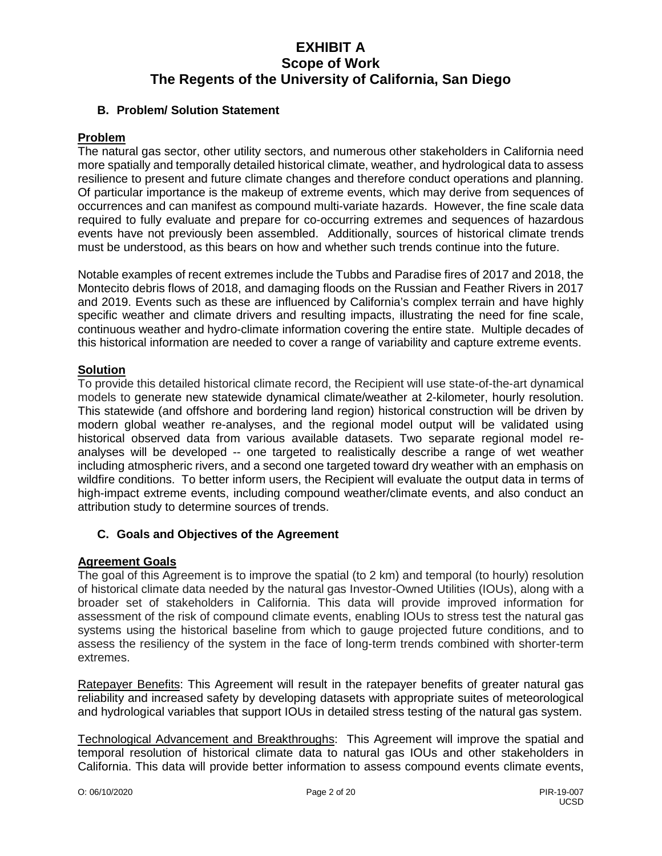## **B. Problem/ Solution Statement**

#### **Problem**

The natural gas sector, other utility sectors, and numerous other stakeholders in California need more spatially and temporally detailed historical climate, weather, and hydrological data to assess resilience to present and future climate changes and therefore conduct operations and planning. Of particular importance is the makeup of extreme events, which may derive from sequences of occurrences and can manifest as compound multi-variate hazards. However, the fine scale data required to fully evaluate and prepare for co-occurring extremes and sequences of hazardous events have not previously been assembled. Additionally, sources of historical climate trends must be understood, as this bears on how and whether such trends continue into the future.

Notable examples of recent extremes include the Tubbs and Paradise fires of 2017 and 2018, the Montecito debris flows of 2018, and damaging floods on the Russian and Feather Rivers in 2017 and 2019. Events such as these are influenced by California's complex terrain and have highly specific weather and climate drivers and resulting impacts, illustrating the need for fine scale, continuous weather and hydro-climate information covering the entire state. Multiple decades of this historical information are needed to cover a range of variability and capture extreme events.

#### **Solution**

To provide this detailed historical climate record, the Recipient will use state-of-the-art dynamical models to generate new statewide dynamical climate/weather at 2-kilometer, hourly resolution. This statewide (and offshore and bordering land region) historical construction will be driven by modern global weather re-analyses, and the regional model output will be validated using historical observed data from various available datasets. Two separate regional model reanalyses will be developed -- one targeted to realistically describe a range of wet weather including atmospheric rivers, and a second one targeted toward dry weather with an emphasis on wildfire conditions. To better inform users, the Recipient will evaluate the output data in terms of high-impact extreme events, including compound weather/climate events, and also conduct an attribution study to determine sources of trends.

# **C. Goals and Objectives of the Agreement**

# **Agreement Goals**

The goal of this Agreement is to improve the spatial (to 2 km) and temporal (to hourly) resolution of historical climate data needed by the natural gas Investor-Owned Utilities (IOUs), along with a broader set of stakeholders in California. This data will provide improved information for assessment of the risk of compound climate events, enabling IOUs to stress test the natural gas systems using the historical baseline from which to gauge projected future conditions, and to assess the resiliency of the system in the face of long-term trends combined with shorter-term extremes.

Ratepayer Benefits: This Agreement will result in the ratepayer benefits of greater natural gas reliability and increased safety by developing datasets with appropriate suites of meteorological and hydrological variables that support IOUs in detailed stress testing of the natural gas system.

Technological Advancement and Breakthroughs: This Agreement will improve the spatial and temporal resolution of historical climate data to natural gas IOUs and other stakeholders in California. This data will provide better information to assess compound events climate events,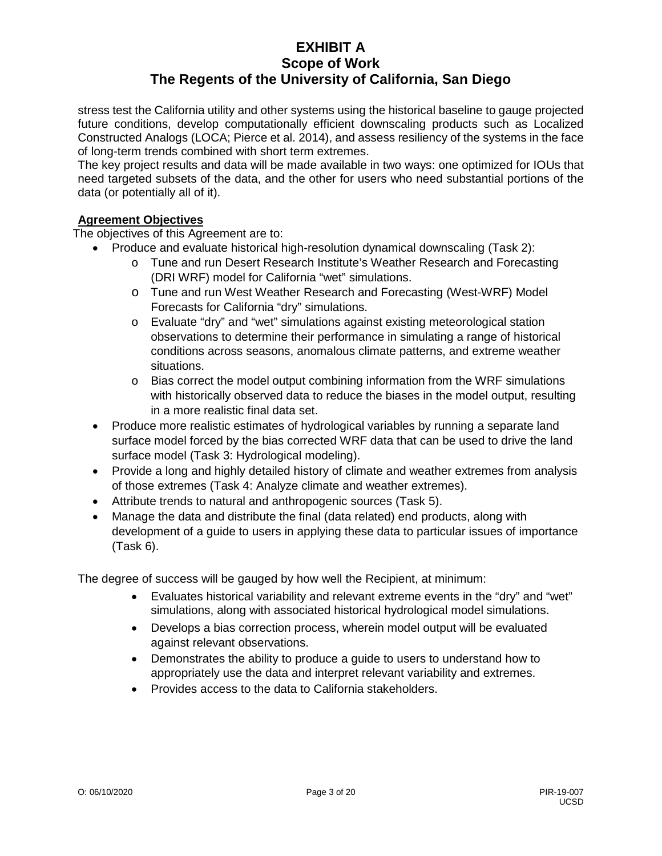stress test the California utility and other systems using the historical baseline to gauge projected future conditions, develop computationally efficient downscaling products such as Localized Constructed Analogs (LOCA; Pierce et al. 2014), and assess resiliency of the systems in the face of long-term trends combined with short term extremes.

The key project results and data will be made available in two ways: one optimized for IOUs that need targeted subsets of the data, and the other for users who need substantial portions of the data (or potentially all of it).

# **Agreement Objectives**

The objectives of this Agreement are to:

- Produce and evaluate historical high-resolution dynamical downscaling (Task 2):
	- o Tune and run Desert Research Institute's Weather Research and Forecasting (DRI WRF) model for California "wet" simulations.
	- o Tune and run West Weather Research and Forecasting (West-WRF) Model Forecasts for California "dry" simulations.
	- o Evaluate "dry" and "wet" simulations against existing meteorological station observations to determine their performance in simulating a range of historical conditions across seasons, anomalous climate patterns, and extreme weather situations.
	- $\circ$  Bias correct the model output combining information from the WRF simulations with historically observed data to reduce the biases in the model output, resulting in a more realistic final data set.
- Produce more realistic estimates of hydrological variables by running a separate land surface model forced by the bias corrected WRF data that can be used to drive the land surface model (Task 3: Hydrological modeling).
- Provide a long and highly detailed history of climate and weather extremes from analysis of those extremes (Task 4: Analyze climate and weather extremes).
- Attribute trends to natural and anthropogenic sources (Task 5).
- Manage the data and distribute the final (data related) end products, along with development of a guide to users in applying these data to particular issues of importance (Task 6).

The degree of success will be gauged by how well the Recipient, at minimum:

- Evaluates historical variability and relevant extreme events in the "dry" and "wet" simulations, along with associated historical hydrological model simulations.
- Develops a bias correction process, wherein model output will be evaluated against relevant observations.
- Demonstrates the ability to produce a guide to users to understand how to appropriately use the data and interpret relevant variability and extremes.
- Provides access to the data to California stakeholders.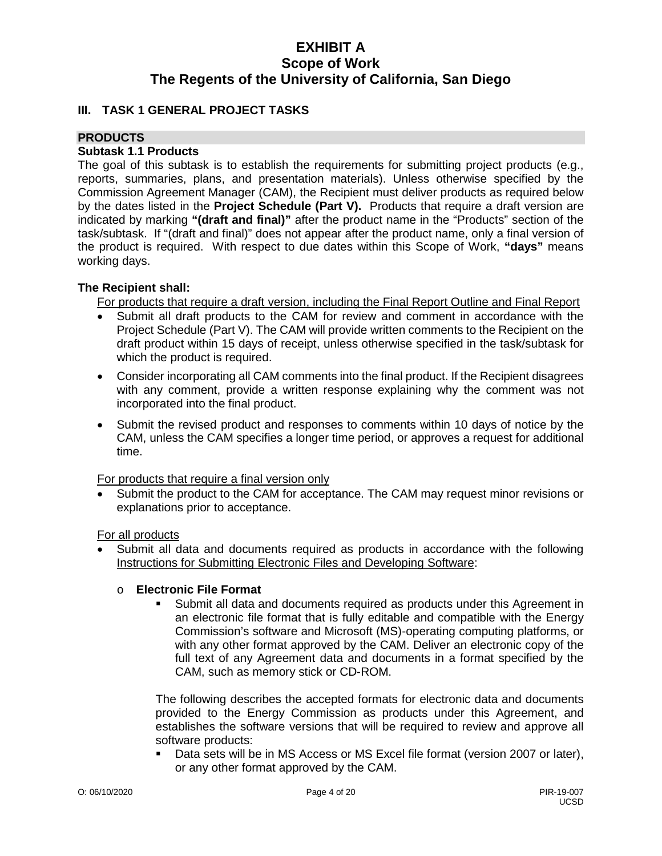## **III. TASK 1 GENERAL PROJECT TASKS**

#### **PRODUCTS**

#### **Subtask 1.1 Products**

The goal of this subtask is to establish the requirements for submitting project products (e.g., reports, summaries, plans, and presentation materials). Unless otherwise specified by the Commission Agreement Manager (CAM), the Recipient must deliver products as required below by the dates listed in the **Project Schedule (Part V).** Products that require a draft version are indicated by marking **"(draft and final)"** after the product name in the "Products" section of the task/subtask. If "(draft and final)" does not appear after the product name, only a final version of the product is required. With respect to due dates within this Scope of Work, **"days"** means working days.

#### **The Recipient shall:**

For products that require a draft version, including the Final Report Outline and Final Report

- Submit all draft products to the CAM for review and comment in accordance with the Project Schedule (Part V). The CAM will provide written comments to the Recipient on the draft product within 15 days of receipt, unless otherwise specified in the task/subtask for which the product is required.
- Consider incorporating all CAM comments into the final product. If the Recipient disagrees with any comment, provide a written response explaining why the comment was not incorporated into the final product.
- Submit the revised product and responses to comments within 10 days of notice by the CAM, unless the CAM specifies a longer time period, or approves a request for additional time.

For products that require a final version only

• Submit the product to the CAM for acceptance. The CAM may request minor revisions or explanations prior to acceptance.

For all products

• Submit all data and documents required as products in accordance with the following Instructions for Submitting Electronic Files and Developing Software:

#### o **Electronic File Format**

 Submit all data and documents required as products under this Agreement in an electronic file format that is fully editable and compatible with the Energy Commission's software and Microsoft (MS)-operating computing platforms, or with any other format approved by the CAM. Deliver an electronic copy of the full text of any Agreement data and documents in a format specified by the CAM, such as memory stick or CD-ROM.

The following describes the accepted formats for electronic data and documents provided to the Energy Commission as products under this Agreement, and establishes the software versions that will be required to review and approve all software products:

 Data sets will be in MS Access or MS Excel file format (version 2007 or later), or any other format approved by the CAM.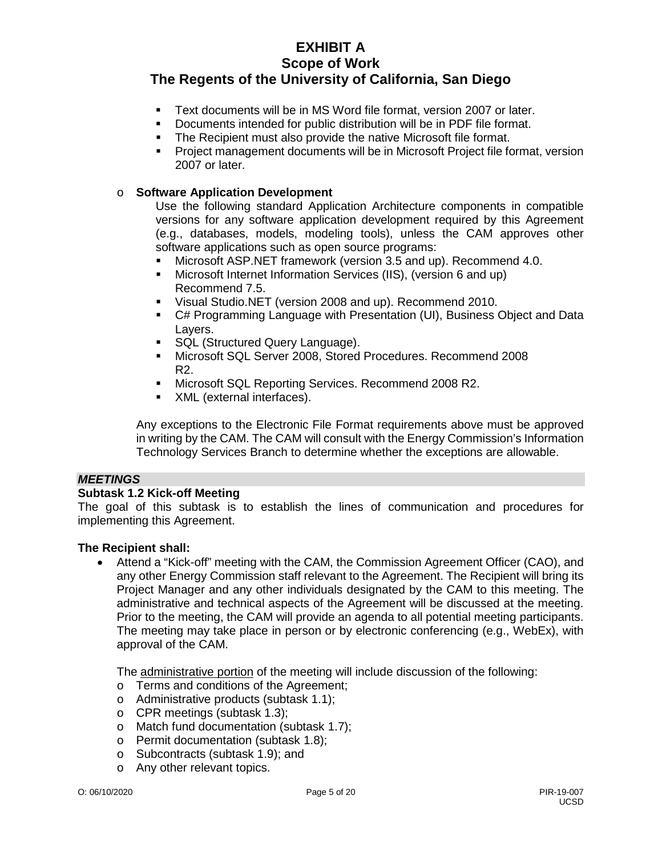- Text documents will be in MS Word file format, version 2007 or later.
- Documents intended for public distribution will be in PDF file format.
- The Recipient must also provide the native Microsoft file format.
- Project management documents will be in Microsoft Project file format, version 2007 or later.

#### o **Software Application Development**

Use the following standard Application Architecture components in compatible versions for any software application development required by this Agreement (e.g., databases, models, modeling tools), unless the CAM approves other software applications such as open source programs:

- Microsoft ASP.NET framework (version 3.5 and up). Recommend 4.0.
- Microsoft Internet Information Services (IIS), (version 6 and up) Recommend 7.5.
- Visual Studio.NET (version 2008 and up). Recommend 2010.
- C# Programming Language with Presentation (UI), Business Object and Data Layers.
- SQL (Structured Query Language).
- Microsoft SQL Server 2008, Stored Procedures. Recommend 2008 R2.
- **Microsoft SQL Reporting Services. Recommend 2008 R2.**
- XML (external interfaces).

Any exceptions to the Electronic File Format requirements above must be approved in writing by the CAM. The CAM will consult with the Energy Commission's Information Technology Services Branch to determine whether the exceptions are allowable.

#### *MEETINGS*

#### **Subtask 1.2 Kick-off Meeting**

The goal of this subtask is to establish the lines of communication and procedures for implementing this Agreement.

#### **The Recipient shall:**

• Attend a "Kick-off" meeting with the CAM, the Commission Agreement Officer (CAO), and any other Energy Commission staff relevant to the Agreement. The Recipient will bring its Project Manager and any other individuals designated by the CAM to this meeting. The administrative and technical aspects of the Agreement will be discussed at the meeting. Prior to the meeting, the CAM will provide an agenda to all potential meeting participants. The meeting may take place in person or by electronic conferencing (e.g., WebEx), with approval of the CAM.

The administrative portion of the meeting will include discussion of the following:

- o Terms and conditions of the Agreement;
- o Administrative products (subtask 1.1);
- o CPR meetings (subtask 1.3);
- o Match fund documentation (subtask 1.7);
- o Permit documentation (subtask 1.8);
- o Subcontracts (subtask 1.9); and
- o Any other relevant topics.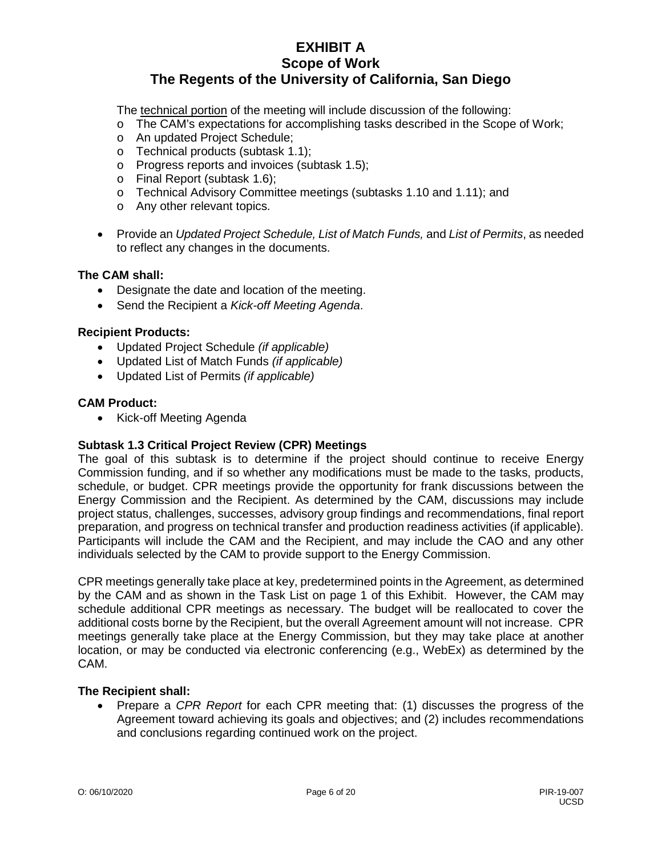The technical portion of the meeting will include discussion of the following:

- o The CAM's expectations for accomplishing tasks described in the Scope of Work;
- o An updated Project Schedule;
- o Technical products (subtask 1.1);
- o Progress reports and invoices (subtask 1.5);
- o Final Report (subtask 1.6);
- o Technical Advisory Committee meetings (subtasks 1.10 and 1.11); and
- o Any other relevant topics.
- Provide an *Updated Project Schedule, List of Match Funds,* and *List of Permits*, as needed to reflect any changes in the documents.

#### **The CAM shall:**

- Designate the date and location of the meeting.
- Send the Recipient a *Kick-off Meeting Agenda*.

#### **Recipient Products:**

- Updated Project Schedule *(if applicable)*
- Updated List of Match Funds *(if applicable)*
- Updated List of Permits *(if applicable)*

#### **CAM Product:**

• Kick-off Meeting Agenda

# **Subtask 1.3 Critical Project Review (CPR) Meetings**

The goal of this subtask is to determine if the project should continue to receive Energy Commission funding, and if so whether any modifications must be made to the tasks, products, schedule, or budget. CPR meetings provide the opportunity for frank discussions between the Energy Commission and the Recipient. As determined by the CAM, discussions may include project status, challenges, successes, advisory group findings and recommendations, final report preparation, and progress on technical transfer and production readiness activities (if applicable). Participants will include the CAM and the Recipient, and may include the CAO and any other individuals selected by the CAM to provide support to the Energy Commission.

CPR meetings generally take place at key, predetermined points in the Agreement, as determined by the CAM and as shown in the Task List on page 1 of this Exhibit. However, the CAM may schedule additional CPR meetings as necessary. The budget will be reallocated to cover the additional costs borne by the Recipient, but the overall Agreement amount will not increase. CPR meetings generally take place at the Energy Commission, but they may take place at another location, or may be conducted via electronic conferencing (e.g., WebEx) as determined by the CAM.

#### **The Recipient shall:**

• Prepare a *CPR Report* for each CPR meeting that: (1) discusses the progress of the Agreement toward achieving its goals and objectives; and (2) includes recommendations and conclusions regarding continued work on the project.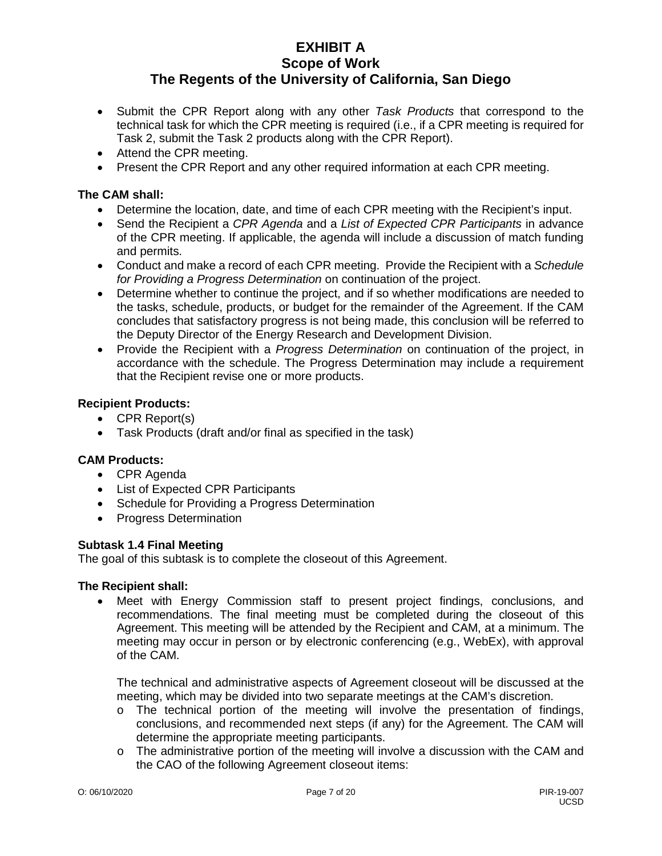- Submit the CPR Report along with any other *Task Products* that correspond to the technical task for which the CPR meeting is required (i.e., if a CPR meeting is required for Task 2, submit the Task 2 products along with the CPR Report).
- Attend the CPR meeting.
- Present the CPR Report and any other required information at each CPR meeting.

# **The CAM shall:**

- Determine the location, date, and time of each CPR meeting with the Recipient's input.
- Send the Recipient a *CPR Agenda* and a *List of Expected CPR Participants* in advance of the CPR meeting. If applicable, the agenda will include a discussion of match funding and permits.
- Conduct and make a record of each CPR meeting. Provide the Recipient with a *Schedule for Providing a Progress Determination* on continuation of the project.
- Determine whether to continue the project, and if so whether modifications are needed to the tasks, schedule, products, or budget for the remainder of the Agreement. If the CAM concludes that satisfactory progress is not being made, this conclusion will be referred to the Deputy Director of the Energy Research and Development Division.
- Provide the Recipient with a *Progress Determination* on continuation of the project, in accordance with the schedule. The Progress Determination may include a requirement that the Recipient revise one or more products.

#### **Recipient Products:**

- CPR Report(s)
- Task Products (draft and/or final as specified in the task)

# **CAM Products:**

- CPR Agenda
- List of Expected CPR Participants
- Schedule for Providing a Progress Determination
- Progress Determination

#### **Subtask 1.4 Final Meeting**

The goal of this subtask is to complete the closeout of this Agreement.

#### **The Recipient shall:**

• Meet with Energy Commission staff to present project findings, conclusions, and recommendations. The final meeting must be completed during the closeout of this Agreement. This meeting will be attended by the Recipient and CAM, at a minimum. The meeting may occur in person or by electronic conferencing (e.g., WebEx), with approval of the CAM.

The technical and administrative aspects of Agreement closeout will be discussed at the meeting, which may be divided into two separate meetings at the CAM's discretion.

- $\circ$  The technical portion of the meeting will involve the presentation of findings, conclusions, and recommended next steps (if any) for the Agreement. The CAM will determine the appropriate meeting participants.
- $\circ$  The administrative portion of the meeting will involve a discussion with the CAM and the CAO of the following Agreement closeout items: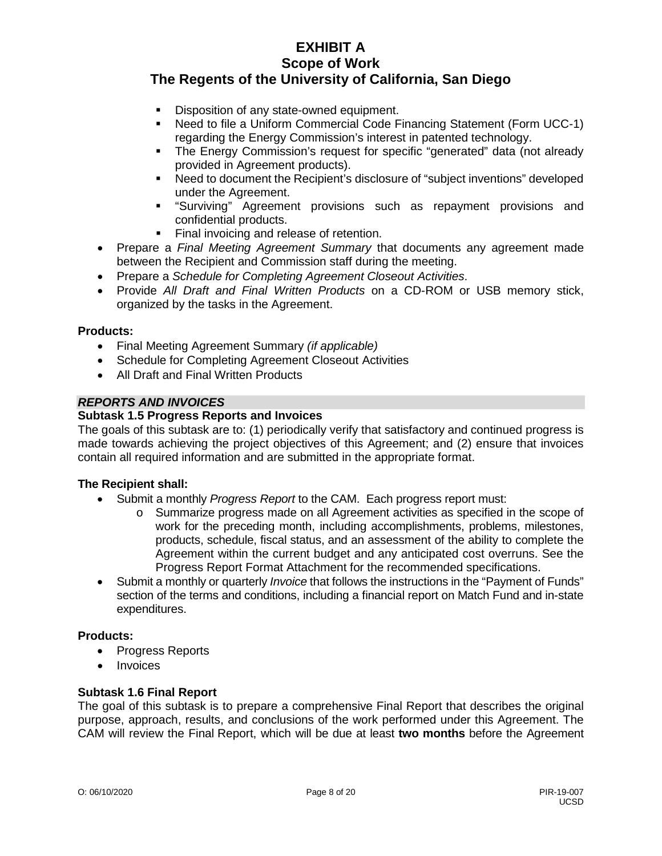- Disposition of any state-owned equipment.
- Need to file a Uniform Commercial Code Financing Statement (Form UCC-1) regarding the Energy Commission's interest in patented technology.
- The Energy Commission's request for specific "generated" data (not already provided in Agreement products).
- Need to document the Recipient's disclosure of "subject inventions" developed under the Agreement.
- "Surviving" Agreement provisions such as repayment provisions and confidential products.
- Final invoicing and release of retention.
- Prepare a *Final Meeting Agreement Summary* that documents any agreement made between the Recipient and Commission staff during the meeting.
- Prepare a *Schedule for Completing Agreement Closeout Activities*.
- Provide *All Draft and Final Written Products* on a CD-ROM or USB memory stick, organized by the tasks in the Agreement.

#### **Products:**

- Final Meeting Agreement Summary *(if applicable)*
- Schedule for Completing Agreement Closeout Activities
- All Draft and Final Written Products

#### *REPORTS AND INVOICES*

#### **Subtask 1.5 Progress Reports and Invoices**

The goals of this subtask are to: (1) periodically verify that satisfactory and continued progress is made towards achieving the project objectives of this Agreement; and (2) ensure that invoices contain all required information and are submitted in the appropriate format.

#### **The Recipient shall:**

- Submit a monthly *Progress Report* to the CAM. Each progress report must:
	- o Summarize progress made on all Agreement activities as specified in the scope of work for the preceding month, including accomplishments, problems, milestones, products, schedule, fiscal status, and an assessment of the ability to complete the Agreement within the current budget and any anticipated cost overruns. See the Progress Report Format Attachment for the recommended specifications.
- Submit a monthly or quarterly *Invoice* that follows the instructions in the "Payment of Funds" section of the terms and conditions, including a financial report on Match Fund and in-state expenditures.

# **Products:**

- Progress Reports
- Invoices

#### **Subtask 1.6 Final Report**

The goal of this subtask is to prepare a comprehensive Final Report that describes the original purpose, approach, results, and conclusions of the work performed under this Agreement. The CAM will review the Final Report, which will be due at least **two months** before the Agreement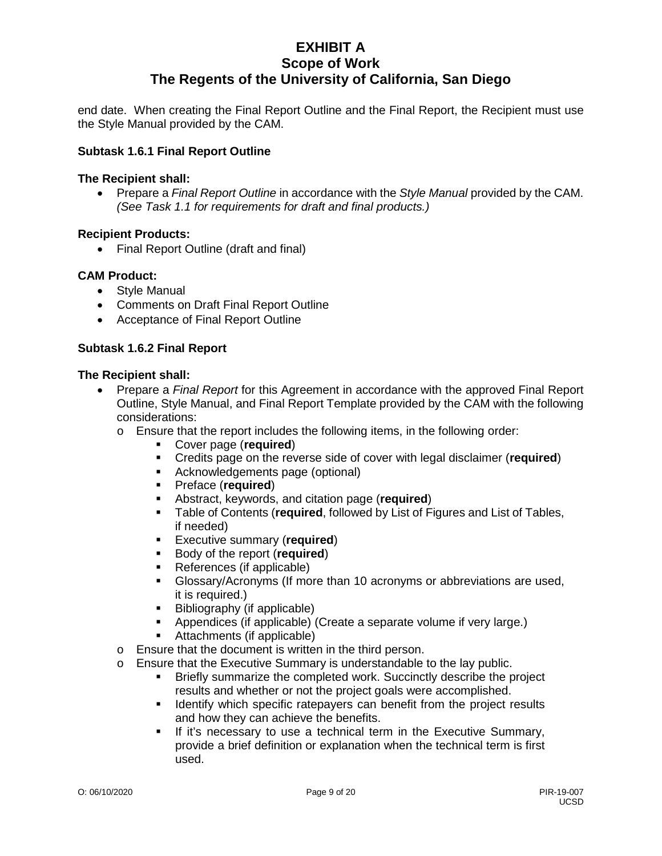end date. When creating the Final Report Outline and the Final Report, the Recipient must use the Style Manual provided by the CAM.

#### **Subtask 1.6.1 Final Report Outline**

#### **The Recipient shall:**

• Prepare a *Final Report Outline* in accordance with the *Style Manual* provided by the CAM. *(See Task 1.1 for requirements for draft and final products.)*

#### **Recipient Products:**

• Final Report Outline (draft and final)

#### **CAM Product:**

- Style Manual
- Comments on Draft Final Report Outline
- Acceptance of Final Report Outline

#### **Subtask 1.6.2 Final Report**

- Prepare a *Final Report* for this Agreement in accordance with the approved Final Report Outline, Style Manual, and Final Report Template provided by the CAM with the following considerations:
	- $\circ$  Ensure that the report includes the following items, in the following order:
		- Cover page (**required**)
		- Credits page on the reverse side of cover with legal disclaimer (**required**)
		- Acknowledgements page (optional)
		- Preface (**required**)
		- Abstract, keywords, and citation page (**required**)
		- Table of Contents (**required**, followed by List of Figures and List of Tables, if needed)
		- **Executive summary (required)**<br>**Example 3 Finally Contempt** (**required**)
		- Body of the report (**required**)
		- References (if applicable)
		- Glossary/Acronyms (If more than 10 acronyms or abbreviations are used, it is required.)
		- Bibliography (if applicable)
			- Appendices (if applicable) (Create a separate volume if very large.)
		- Attachments (if applicable)
	- o Ensure that the document is written in the third person.
	- o Ensure that the Executive Summary is understandable to the lay public.<br>**Example 19 Briefly summarize the completed work** Succinctly describe the public.
		- Briefly summarize the completed work. Succinctly describe the project results and whether or not the project goals were accomplished.
		- I dentify which specific ratepayers can benefit from the project results and how they can achieve the benefits.
		- **If it's necessary to use a technical term in the Executive Summary,** provide a brief definition or explanation when the technical term is first used.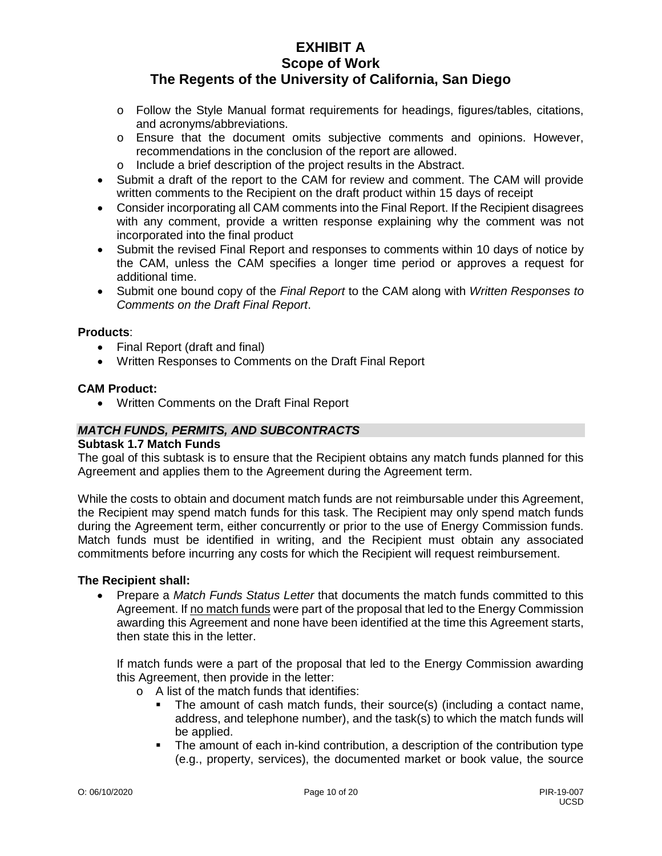- o Follow the Style Manual format requirements for headings, figures/tables, citations, and acronyms/abbreviations.
- o Ensure that the document omits subjective comments and opinions. However, recommendations in the conclusion of the report are allowed.
- o Include a brief description of the project results in the Abstract.
- Submit a draft of the report to the CAM for review and comment. The CAM will provide written comments to the Recipient on the draft product within 15 days of receipt
- Consider incorporating all CAM comments into the Final Report. If the Recipient disagrees with any comment, provide a written response explaining why the comment was not incorporated into the final product
- Submit the revised Final Report and responses to comments within 10 days of notice by the CAM, unless the CAM specifies a longer time period or approves a request for additional time.
- Submit one bound copy of the *Final Report* to the CAM along with *Written Responses to Comments on the Draft Final Report*.

## **Products**:

- Final Report (draft and final)
- Written Responses to Comments on the Draft Final Report

#### **CAM Product:**

• Written Comments on the Draft Final Report

# *MATCH FUNDS, PERMITS, AND SUBCONTRACTS*

#### **Subtask 1.7 Match Funds**

The goal of this subtask is to ensure that the Recipient obtains any match funds planned for this Agreement and applies them to the Agreement during the Agreement term.

While the costs to obtain and document match funds are not reimbursable under this Agreement, the Recipient may spend match funds for this task. The Recipient may only spend match funds during the Agreement term, either concurrently or prior to the use of Energy Commission funds. Match funds must be identified in writing, and the Recipient must obtain any associated commitments before incurring any costs for which the Recipient will request reimbursement.

#### **The Recipient shall:**

• Prepare a *Match Funds Status Letter* that documents the match funds committed to this Agreement. If no match funds were part of the proposal that led to the Energy Commission awarding this Agreement and none have been identified at the time this Agreement starts, then state this in the letter.

If match funds were a part of the proposal that led to the Energy Commission awarding this Agreement, then provide in the letter:

- o A list of the match funds that identifies:
	- The amount of cash match funds, their source(s) (including a contact name, address, and telephone number), and the task(s) to which the match funds will be applied.
	- The amount of each in-kind contribution, a description of the contribution type (e.g., property, services), the documented market or book value, the source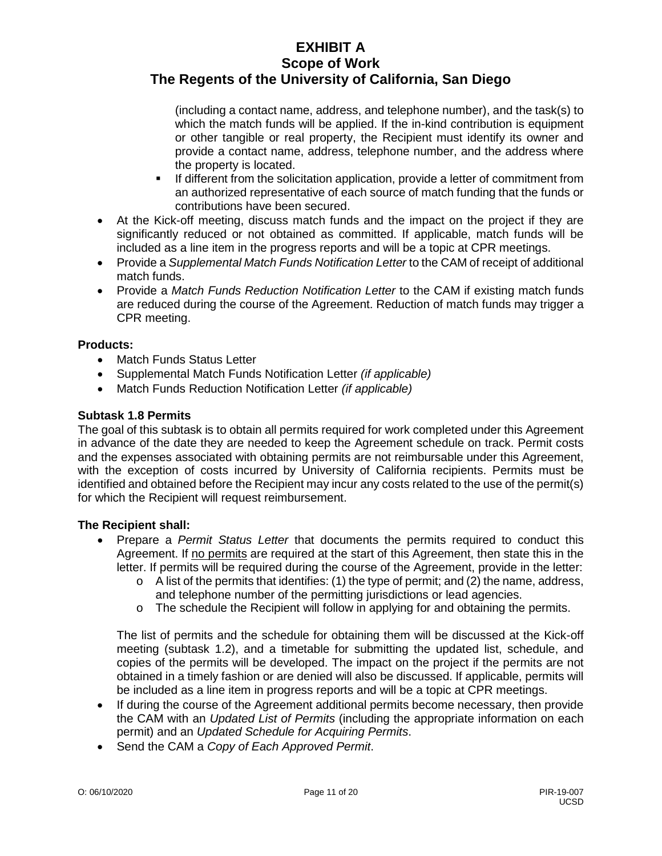(including a contact name, address, and telephone number), and the task(s) to which the match funds will be applied. If the in-kind contribution is equipment or other tangible or real property, the Recipient must identify its owner and provide a contact name, address, telephone number, and the address where the property is located.

- If different from the solicitation application, provide a letter of commitment from an authorized representative of each source of match funding that the funds or contributions have been secured.
- At the Kick-off meeting, discuss match funds and the impact on the project if they are significantly reduced or not obtained as committed. If applicable, match funds will be included as a line item in the progress reports and will be a topic at CPR meetings.
- Provide a *Supplemental Match Funds Notification Letter* to the CAM of receipt of additional match funds.
- Provide a *Match Funds Reduction Notification Letter* to the CAM if existing match funds are reduced during the course of the Agreement. Reduction of match funds may trigger a CPR meeting.

# **Products:**

- Match Funds Status Letter
- Supplemental Match Funds Notification Letter *(if applicable)*
- Match Funds Reduction Notification Letter *(if applicable)*

# **Subtask 1.8 Permits**

The goal of this subtask is to obtain all permits required for work completed under this Agreement in advance of the date they are needed to keep the Agreement schedule on track. Permit costs and the expenses associated with obtaining permits are not reimbursable under this Agreement, with the exception of costs incurred by University of California recipients. Permits must be identified and obtained before the Recipient may incur any costs related to the use of the permit(s) for which the Recipient will request reimbursement.

# **The Recipient shall:**

- Prepare a *Permit Status Letter* that documents the permits required to conduct this Agreement. If no permits are required at the start of this Agreement, then state this in the letter. If permits will be required during the course of the Agreement, provide in the letter:
	- $\circ$  A list of the permits that identifies: (1) the type of permit; and (2) the name, address, and telephone number of the permitting jurisdictions or lead agencies.
	- $\circ$  The schedule the Recipient will follow in applying for and obtaining the permits.

The list of permits and the schedule for obtaining them will be discussed at the Kick-off meeting (subtask 1.2), and a timetable for submitting the updated list, schedule, and copies of the permits will be developed. The impact on the project if the permits are not obtained in a timely fashion or are denied will also be discussed. If applicable, permits will be included as a line item in progress reports and will be a topic at CPR meetings.

- If during the course of the Agreement additional permits become necessary, then provide the CAM with an *Updated List of Permits* (including the appropriate information on each permit) and an *Updated Schedule for Acquiring Permits*.
- Send the CAM a *Copy of Each Approved Permit*.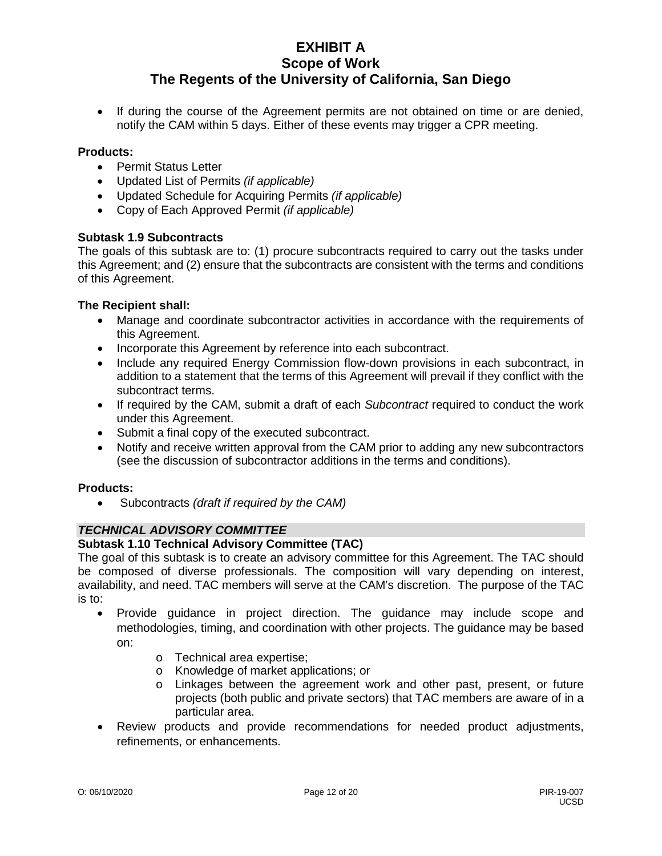• If during the course of the Agreement permits are not obtained on time or are denied, notify the CAM within 5 days. Either of these events may trigger a CPR meeting.

#### **Products:**

- Permit Status Letter
- Updated List of Permits *(if applicable)*
- Updated Schedule for Acquiring Permits *(if applicable)*
- Copy of Each Approved Permit *(if applicable)*

# **Subtask 1.9 Subcontracts**

The goals of this subtask are to: (1) procure subcontracts required to carry out the tasks under this Agreement; and (2) ensure that the subcontracts are consistent with the terms and conditions of this Agreement.

#### **The Recipient shall:**

- Manage and coordinate subcontractor activities in accordance with the requirements of this Agreement.
- Incorporate this Agreement by reference into each subcontract.
- Include any required Energy Commission flow-down provisions in each subcontract, in addition to a statement that the terms of this Agreement will prevail if they conflict with the subcontract terms.
- If required by the CAM, submit a draft of each *Subcontract* required to conduct the work under this Agreement.
- Submit a final copy of the executed subcontract.
- Notify and receive written approval from the CAM prior to adding any new subcontractors (see the discussion of subcontractor additions in the terms and conditions).

#### **Products:**

• Subcontracts *(draft if required by the CAM)*

# *TECHNICAL ADVISORY COMMITTEE*

#### **Subtask 1.10 Technical Advisory Committee (TAC)**

The goal of this subtask is to create an advisory committee for this Agreement. The TAC should be composed of diverse professionals. The composition will vary depending on interest, availability, and need. TAC members will serve at the CAM's discretion. The purpose of the TAC is to:

- Provide guidance in project direction. The guidance may include scope and methodologies, timing, and coordination with other projects. The guidance may be based on:
	- o Technical area expertise;
	- o Knowledge of market applications; or
	- o Linkages between the agreement work and other past, present, or future projects (both public and private sectors) that TAC members are aware of in a particular area.
- Review products and provide recommendations for needed product adjustments, refinements, or enhancements.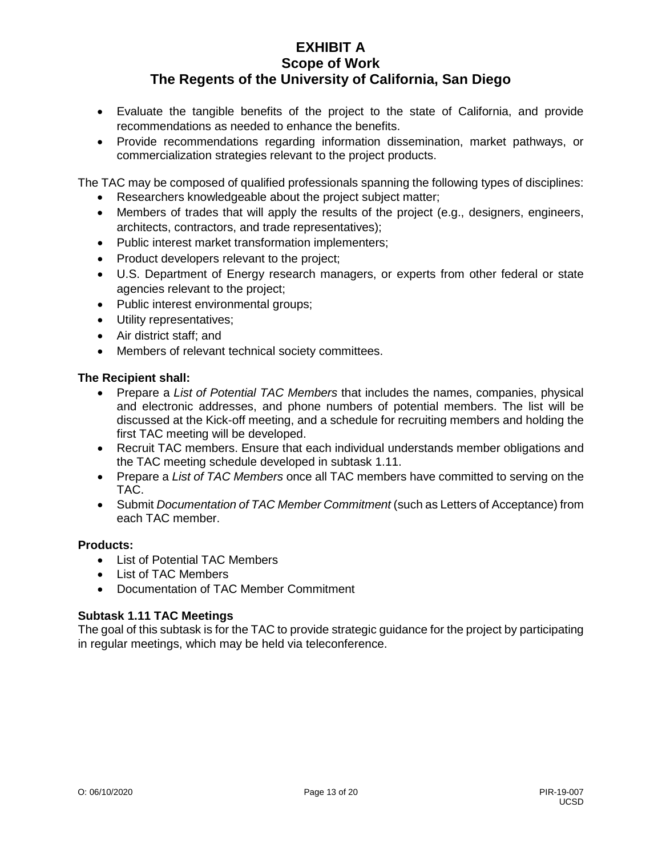- Evaluate the tangible benefits of the project to the state of California, and provide recommendations as needed to enhance the benefits.
- Provide recommendations regarding information dissemination, market pathways, or commercialization strategies relevant to the project products.

The TAC may be composed of qualified professionals spanning the following types of disciplines:

- Researchers knowledgeable about the project subject matter;
- Members of trades that will apply the results of the project (e.g., designers, engineers, architects, contractors, and trade representatives);
- Public interest market transformation implementers;
- Product developers relevant to the project;
- U.S. Department of Energy research managers, or experts from other federal or state agencies relevant to the project;
- Public interest environmental groups;
- Utility representatives;
- Air district staff; and
- Members of relevant technical society committees.

# **The Recipient shall:**

- Prepare a *List of Potential TAC Members* that includes the names, companies, physical and electronic addresses, and phone numbers of potential members. The list will be discussed at the Kick-off meeting, and a schedule for recruiting members and holding the first TAC meeting will be developed.
- Recruit TAC members. Ensure that each individual understands member obligations and the TAC meeting schedule developed in subtask 1.11.
- Prepare a *List of TAC Members* once all TAC members have committed to serving on the TAC.
- Submit *Documentation of TAC Member Commitment* (such as Letters of Acceptance) from each TAC member.

# **Products:**

- List of Potential TAC Members
- List of TAC Members
- Documentation of TAC Member Commitment

# **Subtask 1.11 TAC Meetings**

The goal of this subtask is for the TAC to provide strategic guidance for the project by participating in regular meetings, which may be held via teleconference.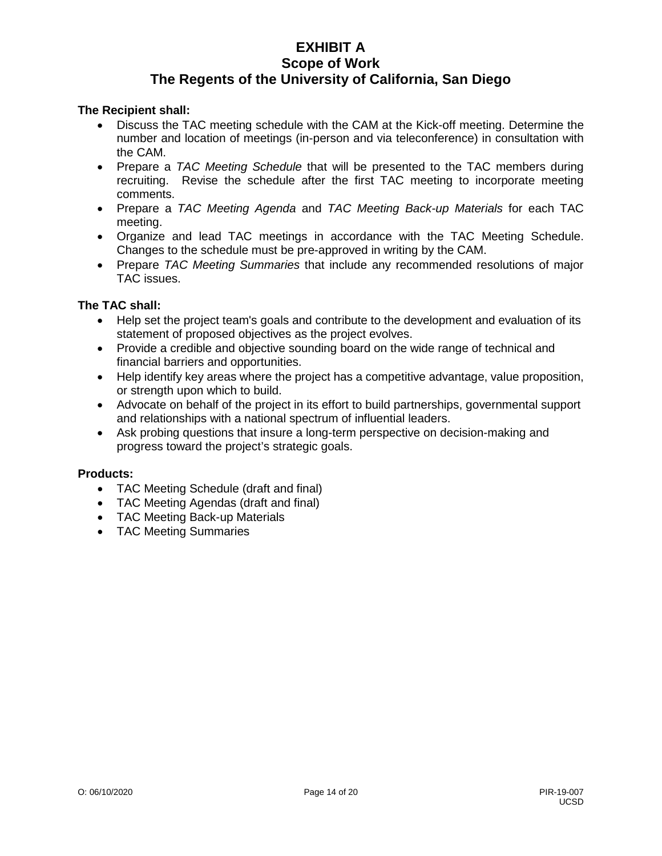#### **The Recipient shall:**

- Discuss the TAC meeting schedule with the CAM at the Kick-off meeting. Determine the number and location of meetings (in-person and via teleconference) in consultation with the CAM.
- Prepare a *TAC Meeting Schedule* that will be presented to the TAC members during recruiting. Revise the schedule after the first TAC meeting to incorporate meeting comments.
- Prepare a *TAC Meeting Agenda* and *TAC Meeting Back-up Materials* for each TAC meeting.
- Organize and lead TAC meetings in accordance with the TAC Meeting Schedule. Changes to the schedule must be pre-approved in writing by the CAM.
- Prepare *TAC Meeting Summaries* that include any recommended resolutions of major TAC issues.

#### **The TAC shall:**

- Help set the project team's goals and contribute to the development and evaluation of its statement of proposed objectives as the project evolves.
- Provide a credible and objective sounding board on the wide range of technical and financial barriers and opportunities.
- Help identify key areas where the project has a competitive advantage, value proposition, or strength upon which to build.
- Advocate on behalf of the project in its effort to build partnerships, governmental support and relationships with a national spectrum of influential leaders.
- Ask probing questions that insure a long-term perspective on decision-making and progress toward the project's strategic goals.

#### **Products:**

- TAC Meeting Schedule (draft and final)
- TAC Meeting Agendas (draft and final)
- TAC Meeting Back-up Materials
- TAC Meeting Summaries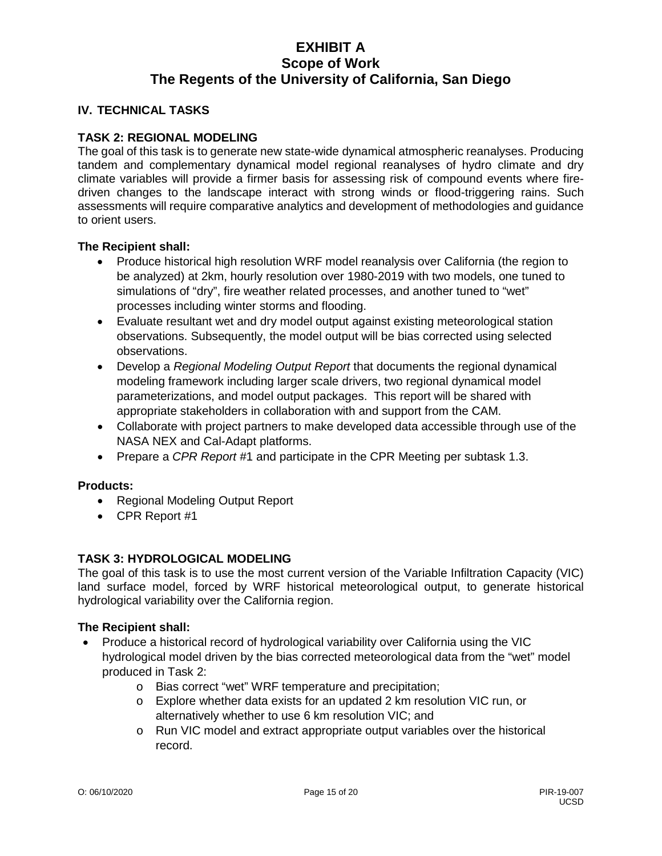#### **IV. TECHNICAL TASKS**

# **TASK 2: REGIONAL MODELING**

The goal of this task is to generate new state-wide dynamical atmospheric reanalyses. Producing tandem and complementary dynamical model regional reanalyses of hydro climate and dry climate variables will provide a firmer basis for assessing risk of compound events where firedriven changes to the landscape interact with strong winds or flood-triggering rains. Such assessments will require comparative analytics and development of methodologies and guidance to orient users.

#### **The Recipient shall:**

- Produce historical high resolution WRF model reanalysis over California (the region to be analyzed) at 2km, hourly resolution over 1980-2019 with two models, one tuned to simulations of "dry", fire weather related processes, and another tuned to "wet" processes including winter storms and flooding.
- Evaluate resultant wet and dry model output against existing meteorological station observations. Subsequently, the model output will be bias corrected using selected observations.
- Develop a *Regional Modeling Output Report* that documents the regional dynamical modeling framework including larger scale drivers, two regional dynamical model parameterizations, and model output packages. This report will be shared with appropriate stakeholders in collaboration with and support from the CAM.
- Collaborate with project partners to make developed data accessible through use of the NASA NEX and Cal-Adapt platforms.
- Prepare a *CPR Report* #1 and participate in the CPR Meeting per subtask 1.3.

## **Products:**

- Regional Modeling Output Report
- CPR Report #1

# **TASK 3: HYDROLOGICAL MODELING**

The goal of this task is to use the most current version of the Variable Infiltration Capacity (VIC) land surface model, forced by WRF historical meteorological output, to generate historical hydrological variability over the California region.

- Produce a historical record of hydrological variability over California using the VIC hydrological model driven by the bias corrected meteorological data from the "wet" model produced in Task 2:
	- o Bias correct "wet" WRF temperature and precipitation;
	- o Explore whether data exists for an updated 2 km resolution VIC run, or alternatively whether to use 6 km resolution VIC; and
	- o Run VIC model and extract appropriate output variables over the historical record.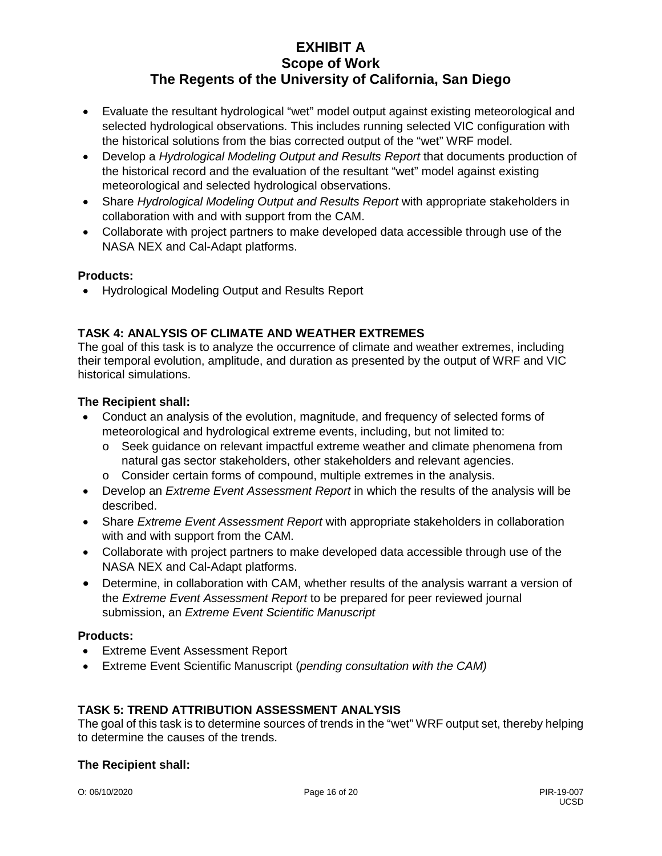- Evaluate the resultant hydrological "wet" model output against existing meteorological and selected hydrological observations. This includes running selected VIC configuration with the historical solutions from the bias corrected output of the "wet" WRF model.
- Develop a *Hydrological Modeling Output and Results Report* that documents production of the historical record and the evaluation of the resultant "wet" model against existing meteorological and selected hydrological observations.
- Share *Hydrological Modeling Output and Results Report* with appropriate stakeholders in collaboration with and with support from the CAM.
- Collaborate with project partners to make developed data accessible through use of the NASA NEX and Cal-Adapt platforms.

# **Products:**

• Hydrological Modeling Output and Results Report

# **TASK 4: ANALYSIS OF CLIMATE AND WEATHER EXTREMES**

The goal of this task is to analyze the occurrence of climate and weather extremes, including their temporal evolution, amplitude, and duration as presented by the output of WRF and VIC historical simulations.

# **The Recipient shall:**

- Conduct an analysis of the evolution, magnitude, and frequency of selected forms of meteorological and hydrological extreme events, including, but not limited to:
	- o Seek guidance on relevant impactful extreme weather and climate phenomena from natural gas sector stakeholders, other stakeholders and relevant agencies.
	- o Consider certain forms of compound, multiple extremes in the analysis.
- Develop an *Extreme Event Assessment Report* in which the results of the analysis will be described.
- Share *Extreme Event Assessment Report* with appropriate stakeholders in collaboration with and with support from the CAM.
- Collaborate with project partners to make developed data accessible through use of the NASA NEX and Cal-Adapt platforms.
- Determine, in collaboration with CAM, whether results of the analysis warrant a version of the *Extreme Event Assessment Report* to be prepared for peer reviewed journal submission, an *Extreme Event Scientific Manuscript*

# **Products:**

- Extreme Event Assessment Report
- Extreme Event Scientific Manuscript (*pending consultation with the CAM)*

# **TASK 5: TREND ATTRIBUTION ASSESSMENT ANALYSIS**

The goal of this task is to determine sources of trends in the "wet" WRF output set, thereby helping to determine the causes of the trends.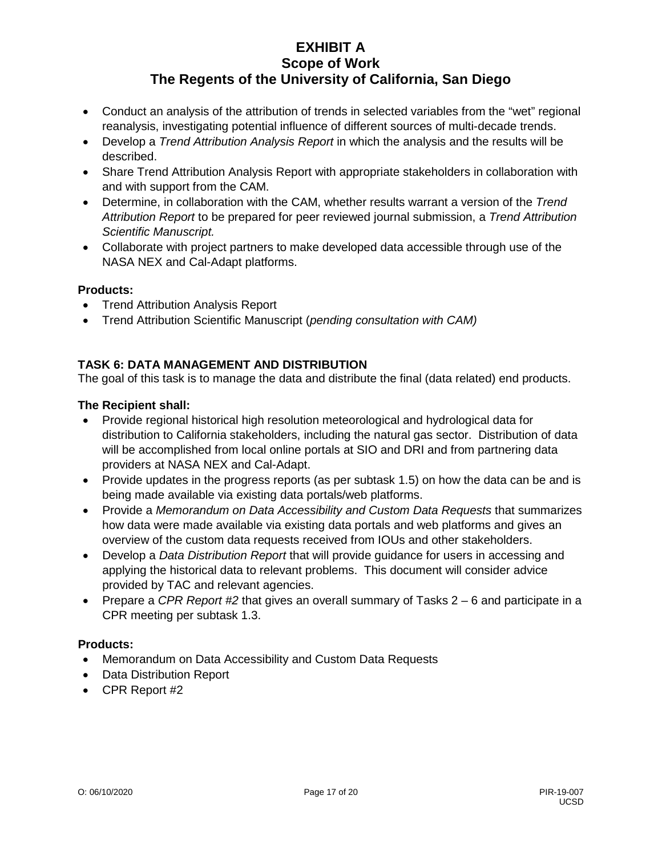- Conduct an analysis of the attribution of trends in selected variables from the "wet" regional reanalysis, investigating potential influence of different sources of multi-decade trends.
- Develop a *Trend Attribution Analysis Report* in which the analysis and the results will be described.
- Share Trend Attribution Analysis Report with appropriate stakeholders in collaboration with and with support from the CAM.
- Determine, in collaboration with the CAM, whether results warrant a version of the *Trend Attribution Report* to be prepared for peer reviewed journal submission, a *Trend Attribution Scientific Manuscript.*
- Collaborate with project partners to make developed data accessible through use of the NASA NEX and Cal-Adapt platforms.

# **Products:**

- Trend Attribution Analysis Report
- Trend Attribution Scientific Manuscript (*pending consultation with CAM)*

# **TASK 6: DATA MANAGEMENT AND DISTRIBUTION**

The goal of this task is to manage the data and distribute the final (data related) end products.

# **The Recipient shall:**

- Provide regional historical high resolution meteorological and hydrological data for distribution to California stakeholders, including the natural gas sector. Distribution of data will be accomplished from local online portals at SIO and DRI and from partnering data providers at NASA NEX and Cal-Adapt.
- Provide updates in the progress reports (as per subtask 1.5) on how the data can be and is being made available via existing data portals/web platforms.
- Provide a *Memorandum on Data Accessibility and Custom Data Requests* that summarizes how data were made available via existing data portals and web platforms and gives an overview of the custom data requests received from IOUs and other stakeholders.
- Develop a *Data Distribution Report* that will provide guidance for users in accessing and applying the historical data to relevant problems. This document will consider advice provided by TAC and relevant agencies.
- Prepare a *CPR Report #2* that gives an overall summary of Tasks 2 6 and participate in a CPR meeting per subtask 1.3.

# **Products:**

- Memorandum on Data Accessibility and Custom Data Requests
- Data Distribution Report
- CPR Report #2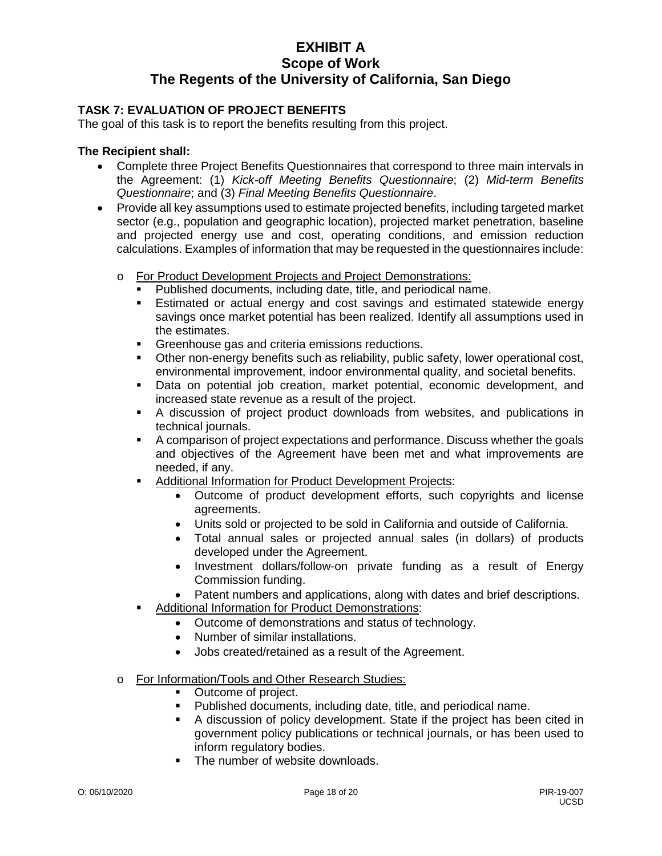# **TASK 7: EVALUATION OF PROJECT BENEFITS**

The goal of this task is to report the benefits resulting from this project.

- Complete three Project Benefits Questionnaires that correspond to three main intervals in the Agreement: (1) *Kick-off Meeting Benefits Questionnaire*; (2) *Mid-term Benefits Questionnaire*; and (3) *Final Meeting Benefits Questionnaire*.
- Provide all key assumptions used to estimate projected benefits, including targeted market sector (e.g., population and geographic location), projected market penetration, baseline and projected energy use and cost, operating conditions, and emission reduction calculations. Examples of information that may be requested in the questionnaires include:
	- o For Product Development Projects and Project Demonstrations:
		- **Published documents, including date, title, and periodical name.**<br>**Extimated or actual energy and cost savings and estimated s**
		- Estimated or actual energy and cost savings and estimated statewide energy savings once market potential has been realized. Identify all assumptions used in the estimates.
		- **Greenhouse gas and criteria emissions reductions.**
		- Other non-energy benefits such as reliability, public safety, lower operational cost, environmental improvement, indoor environmental quality, and societal benefits.
		- Data on potential job creation, market potential, economic development, and increased state revenue as a result of the project.
		- A discussion of project product downloads from websites, and publications in technical journals.
		- A comparison of project expectations and performance. Discuss whether the goals and objectives of the Agreement have been met and what improvements are needed, if any.
		- **Additional Information for Product Development Projects:** 
			- Outcome of product development efforts, such copyrights and license agreements.
			- Units sold or projected to be sold in California and outside of California.
			- Total annual sales or projected annual sales (in dollars) of products developed under the Agreement.
			- Investment dollars/follow-on private funding as a result of Energy Commission funding.
			- Patent numbers and applications, along with dates and brief descriptions.
		- Additional Information for Product Demonstrations:
			- Outcome of demonstrations and status of technology.
			- Number of similar installations.
			- Jobs created/retained as a result of the Agreement.
	- o For Information/Tools and Other Research Studies:
		- Outcome of project.
		- Published documents, including date, title, and periodical name.
		- A discussion of policy development. State if the project has been cited in government policy publications or technical journals, or has been used to inform regulatory bodies.
		- The number of website downloads.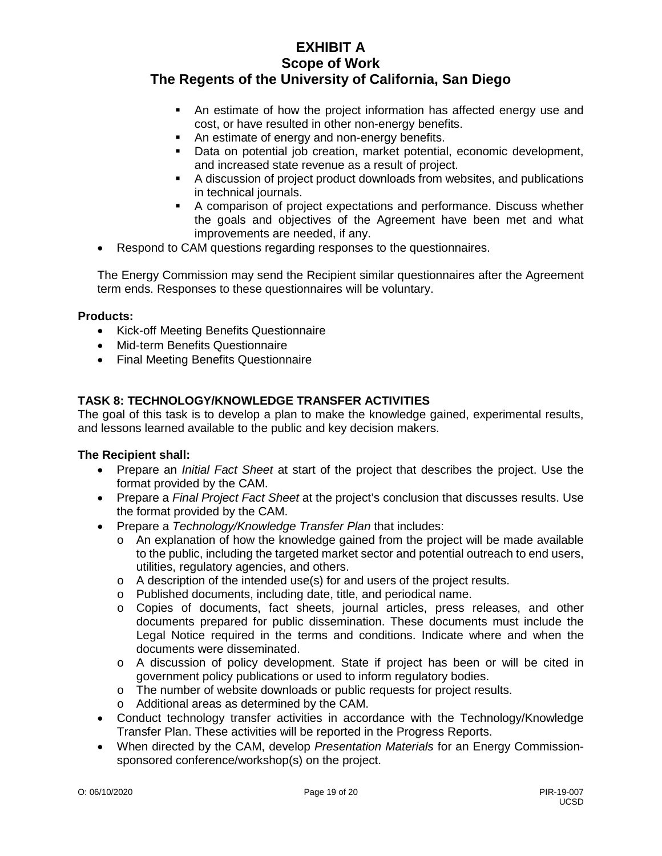- An estimate of how the project information has affected energy use and cost, or have resulted in other non-energy benefits.
- An estimate of energy and non-energy benefits.
- Data on potential job creation, market potential, economic development, and increased state revenue as a result of project.
- A discussion of project product downloads from websites, and publications in technical journals.
- A comparison of project expectations and performance. Discuss whether the goals and objectives of the Agreement have been met and what improvements are needed, if any.
- Respond to CAM questions regarding responses to the questionnaires.

The Energy Commission may send the Recipient similar questionnaires after the Agreement term ends. Responses to these questionnaires will be voluntary.

# **Products:**

- Kick-off Meeting Benefits Questionnaire
- Mid-term Benefits Questionnaire
- Final Meeting Benefits Questionnaire

# **TASK 8: TECHNOLOGY/KNOWLEDGE TRANSFER ACTIVITIES**

The goal of this task is to develop a plan to make the knowledge gained, experimental results, and lessons learned available to the public and key decision makers.

- Prepare an *Initial Fact Sheet* at start of the project that describes the project. Use the format provided by the CAM.
- Prepare a *Final Project Fact Sheet* at the project's conclusion that discusses results. Use the format provided by the CAM.
- Prepare a *Technology/Knowledge Transfer Plan* that includes:
	- $\circ$  An explanation of how the knowledge gained from the project will be made available to the public, including the targeted market sector and potential outreach to end users, utilities, regulatory agencies, and others.
	- o A description of the intended use(s) for and users of the project results.
	- o Published documents, including date, title, and periodical name.
	- o Copies of documents, fact sheets, journal articles, press releases, and other documents prepared for public dissemination. These documents must include the Legal Notice required in the terms and conditions. Indicate where and when the documents were disseminated.
	- o A discussion of policy development. State if project has been or will be cited in government policy publications or used to inform regulatory bodies.
	- o The number of website downloads or public requests for project results.
	- o Additional areas as determined by the CAM.
- Conduct technology transfer activities in accordance with the Technology/Knowledge Transfer Plan. These activities will be reported in the Progress Reports.
- When directed by the CAM, develop *Presentation Materials* for an Energy Commissionsponsored conference/workshop(s) on the project.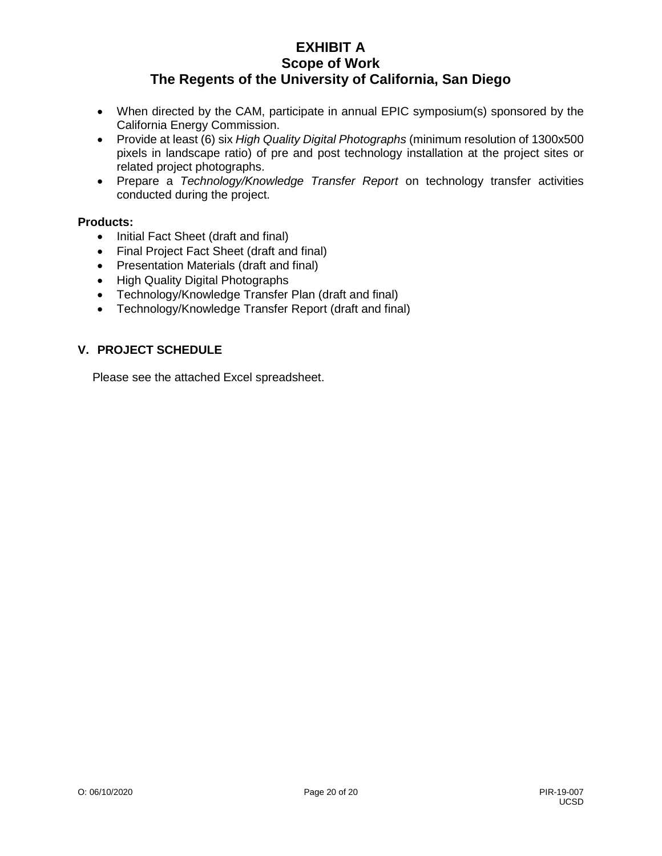- When directed by the CAM, participate in annual EPIC symposium(s) sponsored by the California Energy Commission.
- Provide at least (6) six *High Quality Digital Photographs* (minimum resolution of 1300x500 pixels in landscape ratio) of pre and post technology installation at the project sites or related project photographs.
- Prepare a *Technology/Knowledge Transfer Report* on technology transfer activities conducted during the project.

# **Products:**

- Initial Fact Sheet (draft and final)
- Final Project Fact Sheet (draft and final)
- Presentation Materials (draft and final)
- High Quality Digital Photographs
- Technology/Knowledge Transfer Plan (draft and final)
- Technology/Knowledge Transfer Report (draft and final)

# **V. PROJECT SCHEDULE**

Please see the attached Excel spreadsheet.